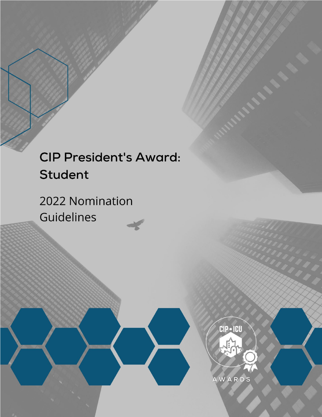# **CIP President's Award: Student**

2022 Nomination Guidelines

> **CIP** • ICU AWARDS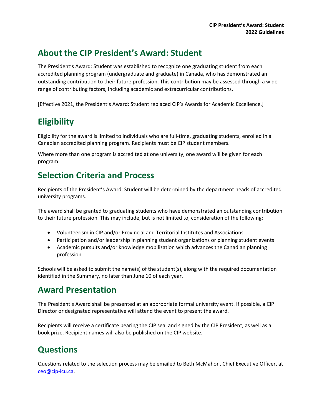#### **About the CIP President's Award: Student**

The President's Award: Student was established to recognize one graduating student from each accredited planning program (undergraduate and graduate) in Canada, who has demonstrated an outstanding contribution to their future profession. This contribution may be assessed through a wide range of contributing factors, including academic and extracurricular contributions.

[Effective 2021, the President's Award: Student replaced CIP's Awards for Academic Excellence.]

## **Eligibility**

Eligibility for the award is limited to individuals who are full-time, graduating students, enrolled in a Canadian accredited planning program. Recipients must be CIP student members.

Where more than one program is accredited at one university, one award will be given for each program.

#### **Selection Criteria and Process**

Recipients of the President's Award: Student will be determined by the department heads of accredited university programs.

The award shall be granted to graduating students who have demonstrated an outstanding contribution to their future profession. This may include, but is not limited to, consideration of the following:

- Volunteerism in CIP and/or Provincial and Territorial Institutes and Associations
- Participation and/or leadership in planning student organizations or planning student events
- Academic pursuits and/or knowledge mobilization which advances the Canadian planning profession

Schools will be asked to submit the name(s) of the student(s), along with the required documentation identified in the Summary, no later than June 10 of each year.

#### **Award Presentation**

The President's Award shall be presented at an appropriate formal university event. If possible, a CIP Director or designated representative will attend the event to present the award.

Recipients will receive a certificate bearing the CIP seal and signed by the CIP President, as well as a book prize. Recipient names will also be published on the CIP website.

### **Questions**

Questions related to the selection process may be emailed to Beth McMahon, Chief Executive Officer, at [ceo@cip-icu.ca.](mailto:ceo@cip-icu.ca)